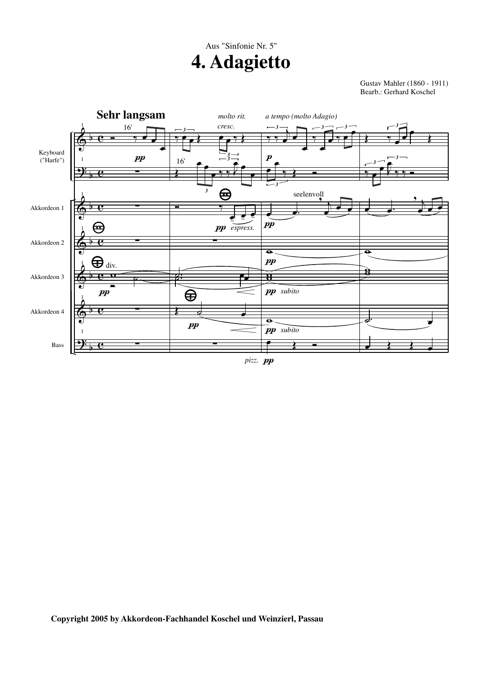## **4. Adagietto** Aus "Sinfonie Nr. 5"

Gustav Mahler (1860 - 1911) Bearb.: Gerhard Koschel



*pizz. pp*